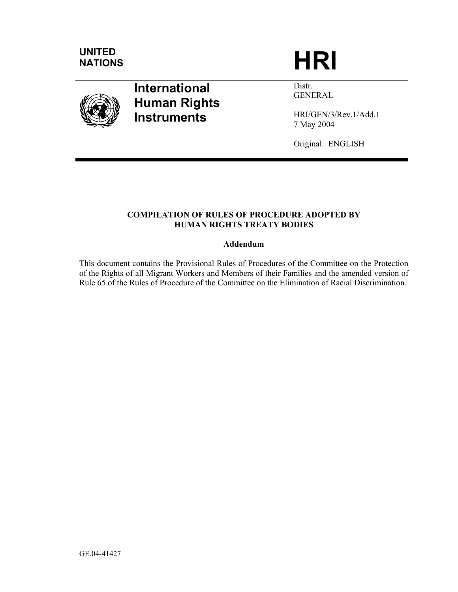

# **International Human Rights Instruments**

Distr. GENERAL

HRI/GEN/3/Rev.1/Add.1 7 May 2004

Original: ENGLISH

# **COMPILATION OF RULES OF PROCEDURE ADOPTED BY HUMAN RIGHTS TREATY BODIES**

# **Addendum**

This document contains the Provisional Rules of Procedures of the Committee on the Protection of the Rights of all Migrant Workers and Members of their Families and the amended version of Rule 65 of the Rules of Procedure of the Committee on the Elimination of Racial Discrimination.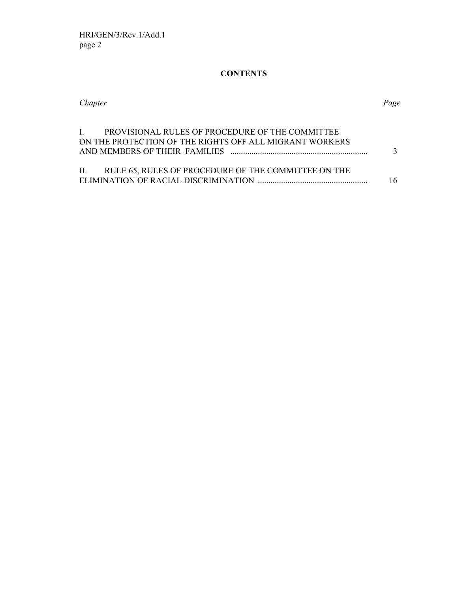# **CONTENTS**

| Chapter                                                                                                       | Page |
|---------------------------------------------------------------------------------------------------------------|------|
| I. PROVISIONAL RULES OF PROCEDURE OF THE COMMITTEE<br>ON THE PROTECTION OF THE RIGHTS OFF ALL MIGRANT WORKERS |      |
| II. RULE 65, RULES OF PROCEDURE OF THE COMMITTEE ON THE                                                       |      |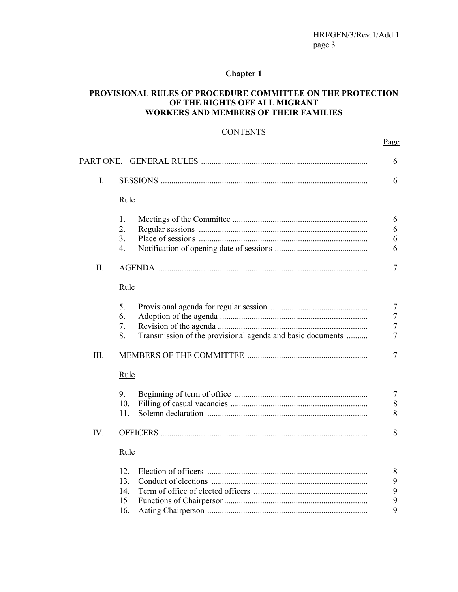# **Chapter 1**

# **PROVISIONAL RULES OF PROCEDURE COMMITTEE ON THE PROTECTION OF THE RIGHTS OFF ALL MIGRANT WORKERS AND MEMBERS OF THEIR FAMILIES**

# **CONTENTS**

Page **Page** 

| I.   |                                                                  |  |
|------|------------------------------------------------------------------|--|
|      | Rule                                                             |  |
|      | 1.                                                               |  |
|      | 2.                                                               |  |
|      | 3 <sub>1</sub>                                                   |  |
|      | $\overline{4}$ .                                                 |  |
| Π.   |                                                                  |  |
|      | Rule                                                             |  |
|      | 5.                                                               |  |
|      | 6.                                                               |  |
|      | 7.                                                               |  |
|      | Transmission of the provisional agenda and basic documents<br>8. |  |
| III. |                                                                  |  |
|      | Rule                                                             |  |
|      | 9.                                                               |  |
|      | 10.                                                              |  |
|      | 11.                                                              |  |
| IV.  |                                                                  |  |
|      | Rule                                                             |  |
|      | 12.                                                              |  |
|      | 13.                                                              |  |
|      | 14.                                                              |  |
|      | 15                                                               |  |
|      | 16.                                                              |  |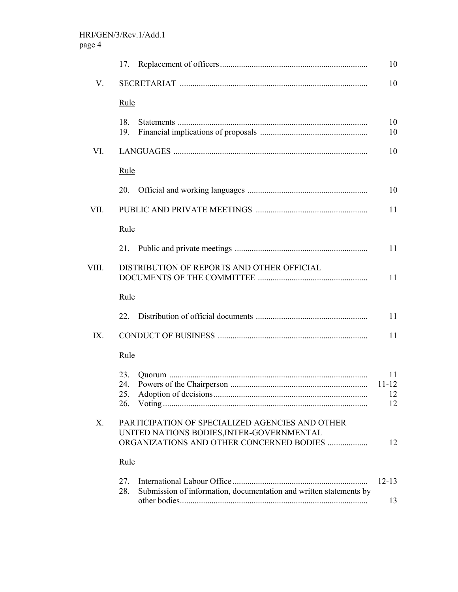|             | 17.                                                                                                                                      | 10                          |
|-------------|------------------------------------------------------------------------------------------------------------------------------------------|-----------------------------|
| V.          |                                                                                                                                          | 10                          |
|             | <u>Rule</u>                                                                                                                              |                             |
|             | 18.<br>19.                                                                                                                               | 10<br>10                    |
| VI.         |                                                                                                                                          | 10                          |
|             | Rule                                                                                                                                     |                             |
|             | 20.                                                                                                                                      | 10                          |
| VII.        |                                                                                                                                          | 11                          |
|             | Rule                                                                                                                                     |                             |
|             | 21.                                                                                                                                      | 11                          |
| VIII.       | DISTRIBUTION OF REPORTS AND OTHER OFFICIAL                                                                                               | 11                          |
|             | <u>Rule</u>                                                                                                                              |                             |
|             | 22                                                                                                                                       | 11                          |
| IX.         |                                                                                                                                          | 11                          |
|             | Rule                                                                                                                                     |                             |
|             | 23.<br>24.<br>25.<br>26.                                                                                                                 | 11<br>$11 - 12$<br>12<br>12 |
| $X_{\cdot}$ | PARTICIPATION OF SPECIALIZED AGENCIES AND OTHER<br>UNITED NATIONS BODIES, INTER-GOVERNMENTAL<br>ORGANIZATIONS AND OTHER CONCERNED BODIES | 12                          |
|             | Rule                                                                                                                                     |                             |
|             | 27.<br>Submission of information, documentation and written statements by<br>28.                                                         | $12 - 13$<br>13             |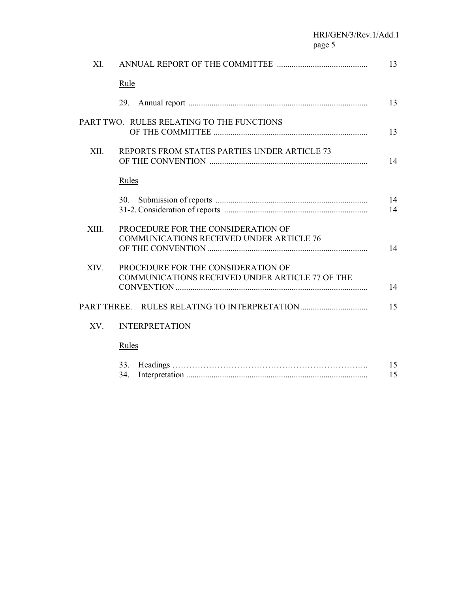HRI/GEN/3/Rev.1/Add.1 page 5

| XI.   |                                                                                       | 13       |
|-------|---------------------------------------------------------------------------------------|----------|
|       | Rule                                                                                  |          |
|       | 29.                                                                                   | 13       |
|       | PART TWO. RULES RELATING TO THE FUNCTIONS                                             | 13       |
| XII.  | REPORTS FROM STATES PARTIES UNDER ARTICLE 73                                          | 14       |
|       | Rules                                                                                 |          |
|       |                                                                                       | 14<br>14 |
| XIII. | PROCEDURE FOR THE CONSIDERATION OF<br><b>COMMUNICATIONS RECEIVED UNDER ARTICLE 76</b> | 14       |
| XIV.  | PROCEDURE FOR THE CONSIDERATION OF<br>COMMUNICATIONS RECEIVED UNDER ARTICLE 77 OF THE | 14       |
|       |                                                                                       | 15       |
| XV.   | <b>INTERPRETATION</b>                                                                 |          |
|       | Rules                                                                                 |          |
|       | 33.<br>34.                                                                            | 15<br>15 |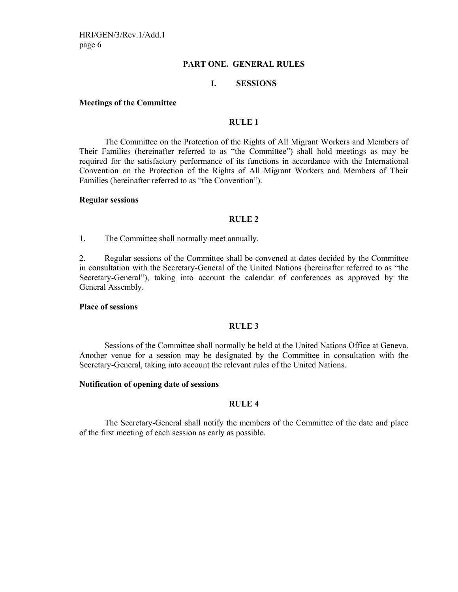# **PART ONE. GENERAL RULES**

### **I. SESSIONS**

#### **Meetings of the Committee**

#### **RULE 1**

 The Committee on the Protection of the Rights of All Migrant Workers and Members of Their Families (hereinafter referred to as "the Committee") shall hold meetings as may be required for the satisfactory performance of its functions in accordance with the International Convention on the Protection of the Rights of All Migrant Workers and Members of Their Families (hereinafter referred to as "the Convention").

#### **Regular sessions**

#### **RULE 2**

1. The Committee shall normally meet annually.

2. Regular sessions of the Committee shall be convened at dates decided by the Committee in consultation with the Secretary-General of the United Nations (hereinafter referred to as "the Secretary-General"), taking into account the calendar of conferences as approved by the General Assembly.

#### **Place of sessions**

#### **RULE 3**

 Sessions of the Committee shall normally be held at the United Nations Office at Geneva. Another venue for a session may be designated by the Committee in consultation with the Secretary-General, taking into account the relevant rules of the United Nations.

#### **Notification of opening date of sessions**

### **RULE 4**

 The Secretary-General shall notify the members of the Committee of the date and place of the first meeting of each session as early as possible.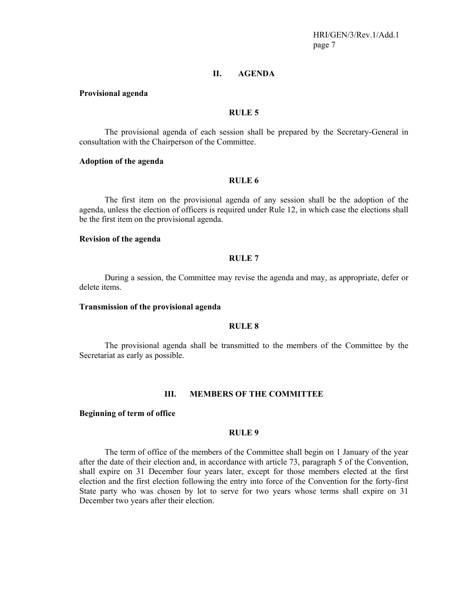HRI/GEN/3/Rev.1/Add.1 page 7

### **II. AGENDA**

#### **Provisional agenda**

#### **RULE 5**

 The provisional agenda of each session shall be prepared by the Secretary-General in consultation with the Chairperson of the Committee.

### **Adoption of the agenda**

### **RULE 6**

 The first item on the provisional agenda of any session shall be the adoption of the agenda, unless the election of officers is required under Rule 12, in which case the elections shall be the first item on the provisional agenda.

#### **Revision of the agenda**

#### **RULE 7**

 During a session, the Committee may revise the agenda and may, as appropriate, defer or delete items.

#### **Transmission of the provisional agenda**

#### **RULE 8**

 The provisional agenda shall be transmitted to the members of the Committee by the Secretariat as early as possible.

#### **III. MEMBERS OF THE COMMITTEE**

#### **Beginning of term of office**

#### **RULE 9**

 The term of office of the members of the Committee shall begin on 1 January of the year after the date of their election and, in accordance with article 73, paragraph 5 of the Convention, shall expire on 31 December four years later, except for those members elected at the first election and the first election following the entry into force of the Convention for the forty-first State party who was chosen by lot to serve for two years whose terms shall expire on 31 December two years after their election.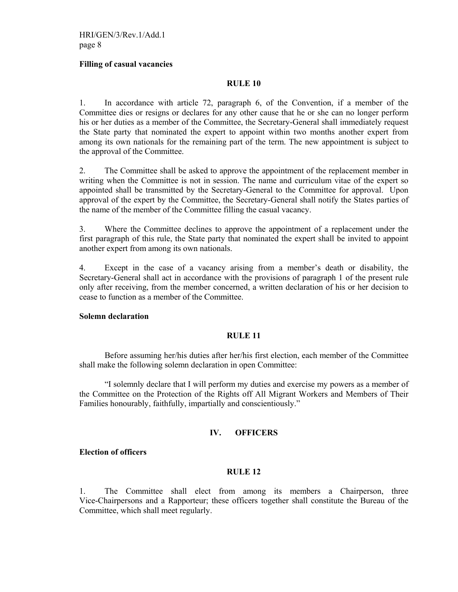#### **Filling of casual vacancies**

### **RULE 10**

1. In accordance with article 72, paragraph 6, of the Convention, if a member of the Committee dies or resigns or declares for any other cause that he or she can no longer perform his or her duties as a member of the Committee, the Secretary-General shall immediately request the State party that nominated the expert to appoint within two months another expert from among its own nationals for the remaining part of the term. The new appointment is subject to the approval of the Committee.

2. The Committee shall be asked to approve the appointment of the replacement member in writing when the Committee is not in session. The name and curriculum vitae of the expert so appointed shall be transmitted by the Secretary-General to the Committee for approval. Upon approval of the expert by the Committee, the Secretary-General shall notify the States parties of the name of the member of the Committee filling the casual vacancy.

3. Where the Committee declines to approve the appointment of a replacement under the first paragraph of this rule, the State party that nominated the expert shall be invited to appoint another expert from among its own nationals.

4. Except in the case of a vacancy arising from a member's death or disability, the Secretary-General shall act in accordance with the provisions of paragraph 1 of the present rule only after receiving, from the member concerned, a written declaration of his or her decision to cease to function as a member of the Committee.

#### **Solemn declaration**

# **RULE 11**

 Before assuming her/his duties after her/his first election, each member of the Committee shall make the following solemn declaration in open Committee:

 "I solemnly declare that I will perform my duties and exercise my powers as a member of the Committee on the Protection of the Rights off All Migrant Workers and Members of Their Families honourably, faithfully, impartially and conscientiously."

# **IV. OFFICERS**

#### **Election of officers**

#### **RULE 12**

1. The Committee shall elect from among its members a Chairperson, three Vice-Chairpersons and a Rapporteur; these officers together shall constitute the Bureau of the Committee, which shall meet regularly.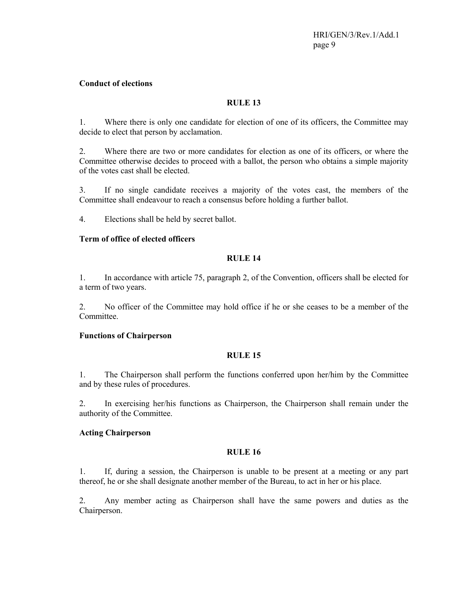# **Conduct of elections**

# **RULE 13**

1. Where there is only one candidate for election of one of its officers, the Committee may decide to elect that person by acclamation.

2. Where there are two or more candidates for election as one of its officers, or where the Committee otherwise decides to proceed with a ballot, the person who obtains a simple majority of the votes cast shall be elected.

3. If no single candidate receives a majority of the votes cast, the members of the Committee shall endeavour to reach a consensus before holding a further ballot.

4. Elections shall be held by secret ballot.

# **Term of office of elected officers**

# **RULE 14**

1. In accordance with article 75, paragraph 2, of the Convention, officers shall be elected for a term of two years.

2. No officer of the Committee may hold office if he or she ceases to be a member of the **Committee** 

# **Functions of Chairperson**

# **RULE 15**

1. The Chairperson shall perform the functions conferred upon her/him by the Committee and by these rules of procedures.

2. In exercising her/his functions as Chairperson, the Chairperson shall remain under the authority of the Committee.

# **Acting Chairperson**

# **RULE 16**

1. If, during a session, the Chairperson is unable to be present at a meeting or any part thereof, he or she shall designate another member of the Bureau, to act in her or his place.

2. Any member acting as Chairperson shall have the same powers and duties as the Chairperson.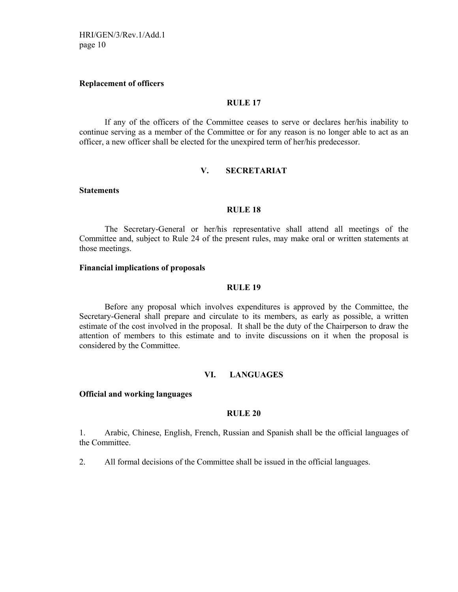HRI/GEN/3/Rev.1/Add.1 page 10

#### **Replacement of officers**

### **RULE 17**

 If any of the officers of the Committee ceases to serve or declares her/his inability to continue serving as a member of the Committee or for any reason is no longer able to act as an officer, a new officer shall be elected for the unexpired term of her/his predecessor.

#### **V. SECRETARIAT**

#### **Statements**

### **RULE 18**

 The Secretary-General or her/his representative shall attend all meetings of the Committee and, subject to Rule 24 of the present rules, may make oral or written statements at those meetings.

#### **Financial implications of proposals**

#### **RULE 19**

 Before any proposal which involves expenditures is approved by the Committee, the Secretary-General shall prepare and circulate to its members, as early as possible, a written estimate of the cost involved in the proposal. It shall be the duty of the Chairperson to draw the attention of members to this estimate and to invite discussions on it when the proposal is considered by the Committee.

#### **VI. LANGUAGES**

# **Official and working languages**

#### **RULE 20**

1. Arabic, Chinese, English, French, Russian and Spanish shall be the official languages of the Committee.

2. All formal decisions of the Committee shall be issued in the official languages.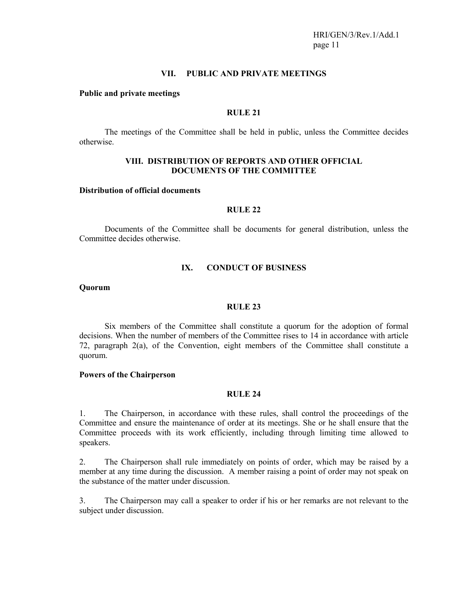### **VII. PUBLIC AND PRIVATE MEETINGS**

#### **Public and private meetings**

### **RULE 21**

 The meetings of the Committee shall be held in public, unless the Committee decides otherwise.

# **VIII. DISTRIBUTION OF REPORTS AND OTHER OFFICIAL DOCUMENTS OF THE COMMITTEE**

#### **Distribution of official documents**

# **RULE 22**

 Documents of the Committee shall be documents for general distribution, unless the Committee decides otherwise.

### **IX. CONDUCT OF BUSINESS**

#### **Quorum**

# **RULE 23**

 Six members of the Committee shall constitute a quorum for the adoption of formal decisions. When the number of members of the Committee rises to 14 in accordance with article 72, paragraph 2(a), of the Convention, eight members of the Committee shall constitute a quorum.

### **Powers of the Chairperson**

# **RULE 24**

1. The Chairperson, in accordance with these rules, shall control the proceedings of the Committee and ensure the maintenance of order at its meetings. She or he shall ensure that the Committee proceeds with its work efficiently, including through limiting time allowed to speakers.

2. The Chairperson shall rule immediately on points of order, which may be raised by a member at any time during the discussion. A member raising a point of order may not speak on the substance of the matter under discussion.

3. The Chairperson may call a speaker to order if his or her remarks are not relevant to the subject under discussion.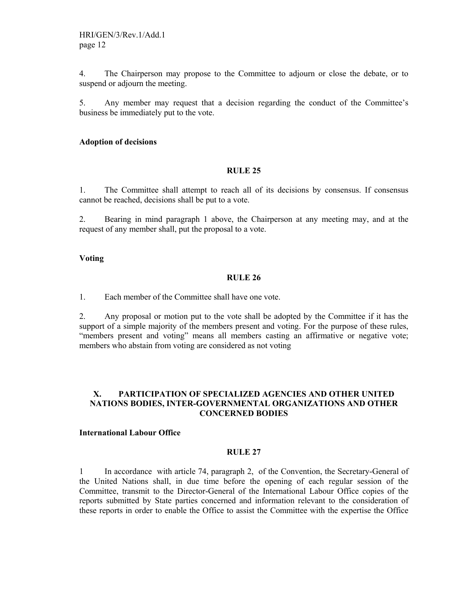4. The Chairperson may propose to the Committee to adjourn or close the debate, or to suspend or adjourn the meeting.

5. Any member may request that a decision regarding the conduct of the Committee's business be immediately put to the vote.

### **Adoption of decisions**

#### **RULE 25**

1. The Committee shall attempt to reach all of its decisions by consensus. If consensus cannot be reached, decisions shall be put to a vote.

2. Bearing in mind paragraph 1 above, the Chairperson at any meeting may, and at the request of any member shall, put the proposal to a vote.

# **Voting**

# **RULE 26**

1. Each member of the Committee shall have one vote.

2. Any proposal or motion put to the vote shall be adopted by the Committee if it has the support of a simple majority of the members present and voting. For the purpose of these rules, "members present and voting" means all members casting an affirmative or negative vote; members who abstain from voting are considered as not voting

# **X. PARTICIPATION OF SPECIALIZED AGENCIES AND OTHER UNITED NATIONS BODIES, INTER-GOVERNMENTAL ORGANIZATIONS AND OTHER CONCERNED BODIES**

### **International Labour Office**

# **RULE 27**

1 In accordance with article 74, paragraph 2, of the Convention, the Secretary-General of the United Nations shall, in due time before the opening of each regular session of the Committee, transmit to the Director-General of the International Labour Office copies of the reports submitted by State parties concerned and information relevant to the consideration of these reports in order to enable the Office to assist the Committee with the expertise the Office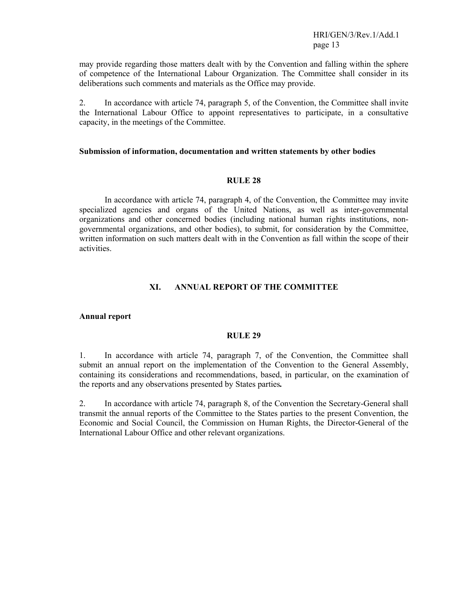HRI/GEN/3/Rev.1/Add.1 page 13

may provide regarding those matters dealt with by the Convention and falling within the sphere of competence of the International Labour Organization. The Committee shall consider in its deliberations such comments and materials as the Office may provide.

2. In accordance with article 74, paragraph 5, of the Convention, the Committee shall invite the International Labour Office to appoint representatives to participate, in a consultative capacity, in the meetings of the Committee.

#### **Submission of information, documentation and written statements by other bodies**

#### **RULE 28**

 In accordance with article 74, paragraph 4, of the Convention, the Committee may invite specialized agencies and organs of the United Nations, as well as inter-governmental organizations and other concerned bodies (including national human rights institutions, nongovernmental organizations, and other bodies), to submit, for consideration by the Committee, written information on such matters dealt with in the Convention as fall within the scope of their activities.

### **XI. ANNUAL REPORT OF THE COMMITTEE**

# **Annual report**

#### **RULE 29**

1. In accordance with article 74, paragraph 7, of the Convention, the Committee shall submit an annual report on the implementation of the Convention to the General Assembly, containing its considerations and recommendations, based, in particular, on the examination of the reports and any observations presented by States parties*.*

2. In accordance with article 74, paragraph 8, of the Convention the Secretary-General shall transmit the annual reports of the Committee to the States parties to the present Convention, the Economic and Social Council, the Commission on Human Rights, the Director-General of the International Labour Office and other relevant organizations.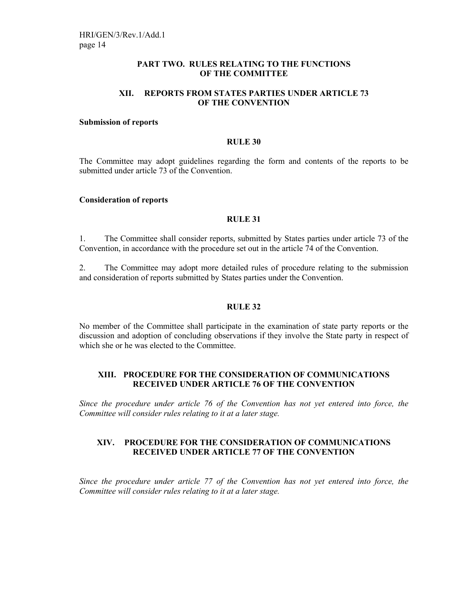# **PART TWO. RULES RELATING TO THE FUNCTIONS OF THE COMMITTEE**

# **XII. REPORTS FROM STATES PARTIES UNDER ARTICLE 73 OF THE CONVENTION**

#### **Submission of reports**

#### **RULE 30**

The Committee may adopt guidelines regarding the form and contents of the reports to be submitted under article 73 of the Convention.

#### **Consideration of reports**

### **RULE 31**

1. The Committee shall consider reports, submitted by States parties under article 73 of the Convention, in accordance with the procedure set out in the article 74 of the Convention.

2. The Committee may adopt more detailed rules of procedure relating to the submission and consideration of reports submitted by States parties under the Convention.

# **RULE 32**

No member of the Committee shall participate in the examination of state party reports or the discussion and adoption of concluding observations if they involve the State party in respect of which she or he was elected to the Committee.

# **XIII. PROCEDURE FOR THE CONSIDERATION OF COMMUNICATIONS RECEIVED UNDER ARTICLE 76 OF THE CONVENTION**

*Since the procedure under article 76 of the Convention has not yet entered into force, the Committee will consider rules relating to it at a later stage.* 

# **XIV. PROCEDURE FOR THE CONSIDERATION OF COMMUNICATIONS RECEIVED UNDER ARTICLE 77 OF THE CONVENTION**

*Since the procedure under article 77 of the Convention has not yet entered into force, the Committee will consider rules relating to it at a later stage.*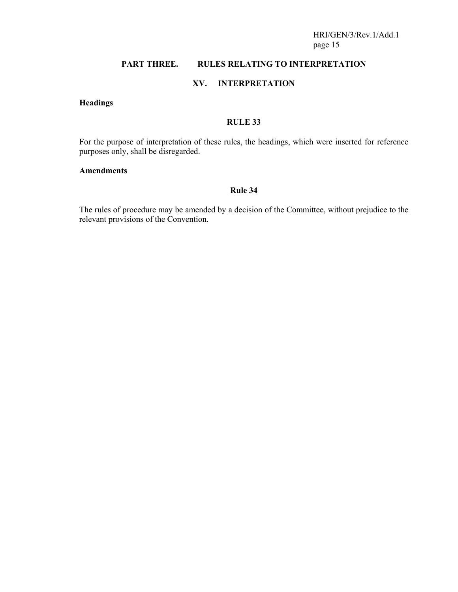# **PART THREE. RULES RELATING TO INTERPRETATION**

# **XV. INTERPRETATION**

# **Headings**

# **RULE 33**

For the purpose of interpretation of these rules, the headings, which were inserted for reference purposes only, shall be disregarded.

# **Amendments**

# **Rule 34**

The rules of procedure may be amended by a decision of the Committee, without prejudice to the relevant provisions of the Convention.